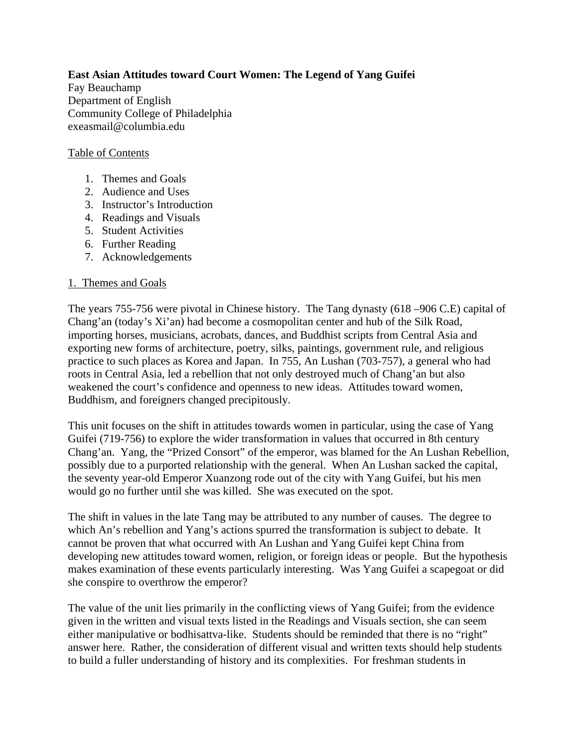**East Asian Attitudes toward Court Women: The Legend of Yang Guifei**  Fay Beauchamp Department of English Community College of Philadelphia exeasmail@columbia.edu

## Table of Contents

- 1. Themes and Goals
- 2. Audience and Uses
- 3. Instructor's Introduction
- 4. Readings and Visuals
- 5. Student Activities
- 6. Further Reading
- 7. Acknowledgements

#### 1. Themes and Goals

The years 755-756 were pivotal in Chinese history. The Tang dynasty (618 –906 C.E) capital of Chang'an (today's Xi'an) had become a cosmopolitan center and hub of the Silk Road, importing horses, musicians, acrobats, dances, and Buddhist scripts from Central Asia and exporting new forms of architecture, poetry, silks, paintings, government rule, and religious practice to such places as Korea and Japan. In 755, An Lushan (703-757), a general who had roots in Central Asia, led a rebellion that not only destroyed much of Chang'an but also weakened the court's confidence and openness to new ideas. Attitudes toward women, Buddhism, and foreigners changed precipitously.

This unit focuses on the shift in attitudes towards women in particular, using the case of Yang Guifei (719-756) to explore the wider transformation in values that occurred in 8th century Chang'an. Yang, the "Prized Consort" of the emperor, was blamed for the An Lushan Rebellion, possibly due to a purported relationship with the general. When An Lushan sacked the capital, the seventy year-old Emperor Xuanzong rode out of the city with Yang Guifei, but his men would go no further until she was killed. She was executed on the spot.

The shift in values in the late Tang may be attributed to any number of causes. The degree to which An's rebellion and Yang's actions spurred the transformation is subject to debate. It cannot be proven that what occurred with An Lushan and Yang Guifei kept China from developing new attitudes toward women, religion, or foreign ideas or people. But the hypothesis makes examination of these events particularly interesting. Was Yang Guifei a scapegoat or did she conspire to overthrow the emperor?

The value of the unit lies primarily in the conflicting views of Yang Guifei; from the evidence given in the written and visual texts listed in the Readings and Visuals section, she can seem either manipulative or bodhisattva-like. Students should be reminded that there is no "right" answer here. Rather, the consideration of different visual and written texts should help students to build a fuller understanding of history and its complexities. For freshman students in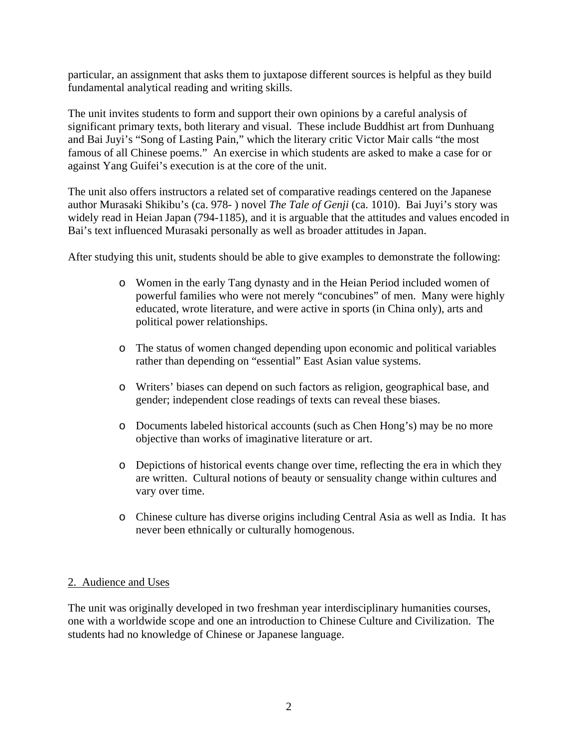particular, an assignment that asks them to juxtapose different sources is helpful as they build fundamental analytical reading and writing skills.

The unit invites students to form and support their own opinions by a careful analysis of significant primary texts, both literary and visual. These include Buddhist art from Dunhuang and Bai Juyi's "Song of Lasting Pain," which the literary critic Victor Mair calls "the most famous of all Chinese poems." An exercise in which students are asked to make a case for or against Yang Guifei's execution is at the core of the unit.

The unit also offers instructors a related set of comparative readings centered on the Japanese author Murasaki Shikibu's (ca. 978- ) novel *The Tale of Genji* (ca. 1010). Bai Juyi's story was widely read in Heian Japan (794-1185), and it is arguable that the attitudes and values encoded in Bai's text influenced Murasaki personally as well as broader attitudes in Japan.

After studying this unit, students should be able to give examples to demonstrate the following:

- o Women in the early Tang dynasty and in the Heian Period included women of powerful families who were not merely "concubines" of men. Many were highly educated, wrote literature, and were active in sports (in China only), arts and political power relationships.
- o The status of women changed depending upon economic and political variables rather than depending on "essential" East Asian value systems.
- o Writers' biases can depend on such factors as religion, geographical base, and gender; independent close readings of texts can reveal these biases.
- o Documents labeled historical accounts (such as Chen Hong's) may be no more objective than works of imaginative literature or art.
- o Depictions of historical events change over time, reflecting the era in which they are written. Cultural notions of beauty or sensuality change within cultures and vary over time.
- o Chinese culture has diverse origins including Central Asia as well as India. It has never been ethnically or culturally homogenous.

# 2. Audience and Uses

The unit was originally developed in two freshman year interdisciplinary humanities courses, one with a worldwide scope and one an introduction to Chinese Culture and Civilization. The students had no knowledge of Chinese or Japanese language.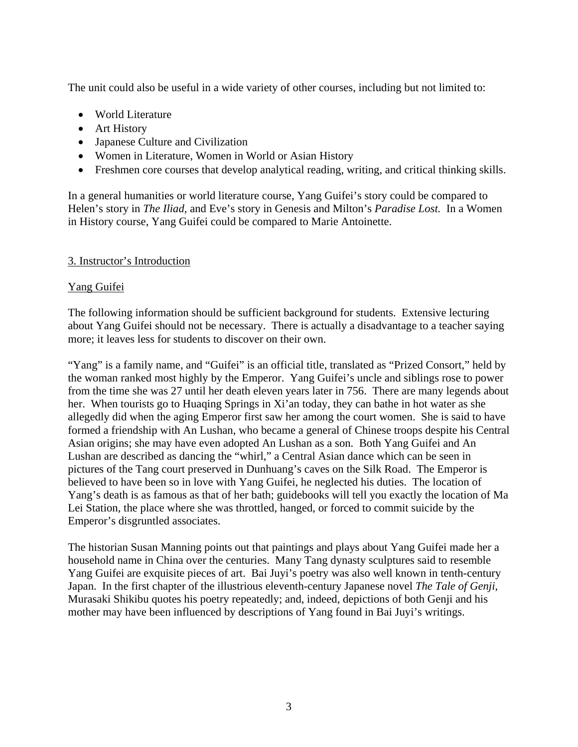The unit could also be useful in a wide variety of other courses, including but not limited to:

- World Literature
- Art History
- Japanese Culture and Civilization
- Women in Literature, Women in World or Asian History
- Freshmen core courses that develop analytical reading, writing, and critical thinking skills.

In a general humanities or world literature course, Yang Guifei's story could be compared to Helen's story in *The Iliad,* and Eve's story in Genesis and Milton's *Paradise Lost.* In a Women in History course, Yang Guifei could be compared to Marie Antoinette.

# 3. Instructor's Introduction

# Yang Guifei

The following information should be sufficient background for students. Extensive lecturing about Yang Guifei should not be necessary. There is actually a disadvantage to a teacher saying more; it leaves less for students to discover on their own.

"Yang" is a family name, and "Guifei" is an official title, translated as "Prized Consort," held by the woman ranked most highly by the Emperor. Yang Guifei's uncle and siblings rose to power from the time she was 27 until her death eleven years later in 756. There are many legends about her. When tourists go to Huaqing Springs in Xi'an today, they can bathe in hot water as she allegedly did when the aging Emperor first saw her among the court women. She is said to have formed a friendship with An Lushan, who became a general of Chinese troops despite his Central Asian origins; she may have even adopted An Lushan as a son. Both Yang Guifei and An Lushan are described as dancing the "whirl," a Central Asian dance which can be seen in pictures of the Tang court preserved in Dunhuang's caves on the Silk Road. The Emperor is believed to have been so in love with Yang Guifei, he neglected his duties. The location of Yang's death is as famous as that of her bath; guidebooks will tell you exactly the location of Ma Lei Station, the place where she was throttled, hanged, or forced to commit suicide by the Emperor's disgruntled associates.

The historian Susan Manning points out that paintings and plays about Yang Guifei made her a household name in China over the centuries. Many Tang dynasty sculptures said to resemble Yang Guifei are exquisite pieces of art. Bai Juyi's poetry was also well known in tenth-century Japan. In the first chapter of the illustrious eleventh-century Japanese novel *The Tale of Genji*, Murasaki Shikibu quotes his poetry repeatedly; and, indeed, depictions of both Genji and his mother may have been influenced by descriptions of Yang found in Bai Juyi's writings.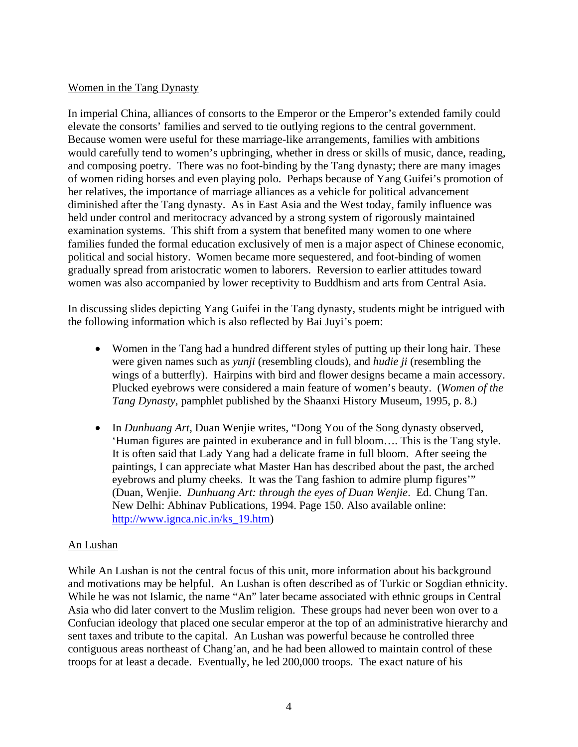# Women in the Tang Dynasty

In imperial China, alliances of consorts to the Emperor or the Emperor's extended family could elevate the consorts' families and served to tie outlying regions to the central government. Because women were useful for these marriage-like arrangements, families with ambitions would carefully tend to women's upbringing, whether in dress or skills of music, dance, reading, and composing poetry. There was no foot-binding by the Tang dynasty; there are many images of women riding horses and even playing polo. Perhaps because of Yang Guifei's promotion of her relatives, the importance of marriage alliances as a vehicle for political advancement diminished after the Tang dynasty. As in East Asia and the West today, family influence was held under control and meritocracy advanced by a strong system of rigorously maintained examination systems. This shift from a system that benefited many women to one where families funded the formal education exclusively of men is a major aspect of Chinese economic, political and social history. Women became more sequestered, and foot-binding of women gradually spread from aristocratic women to laborers. Reversion to earlier attitudes toward women was also accompanied by lower receptivity to Buddhism and arts from Central Asia.

In discussing slides depicting Yang Guifei in the Tang dynasty, students might be intrigued with the following information which is also reflected by Bai Juyi's poem:

- Women in the Tang had a hundred different styles of putting up their long hair. These were given names such as *yunji* (resembling clouds), and *hudie ji* (resembling the wings of a butterfly). Hairpins with bird and flower designs became a main accessory. Plucked eyebrows were considered a main feature of women's beauty. (*Women of the Tang Dynasty*, pamphlet published by the Shaanxi History Museum, 1995, p. 8.)
- In *Dunhuang Art*, Duan Wenjie writes, "Dong You of the Song dynasty observed, 'Human figures are painted in exuberance and in full bloom…. This is the Tang style. It is often said that Lady Yang had a delicate frame in full bloom. After seeing the paintings, I can appreciate what Master Han has described about the past, the arched eyebrows and plumy cheeks. It was the Tang fashion to admire plump figures'" (Duan, Wenjie. *Dunhuang Art: through the eyes of Duan Wenjie*. Ed. Chung Tan. New Delhi: Abhinav Publications, 1994. Page 150. Also available online: [http://www.ignca.nic.in/ks\\_19.htm](http://www.ignca.nic.in/ks_19.htm))

# An Lushan

While An Lushan is not the central focus of this unit, more information about his background and motivations may be helpful. An Lushan is often described as of Turkic or Sogdian ethnicity. While he was not Islamic, the name "An" later became associated with ethnic groups in Central Asia who did later convert to the Muslim religion. These groups had never been won over to a Confucian ideology that placed one secular emperor at the top of an administrative hierarchy and sent taxes and tribute to the capital. An Lushan was powerful because he controlled three contiguous areas northeast of Chang'an, and he had been allowed to maintain control of these troops for at least a decade. Eventually, he led 200,000 troops. The exact nature of his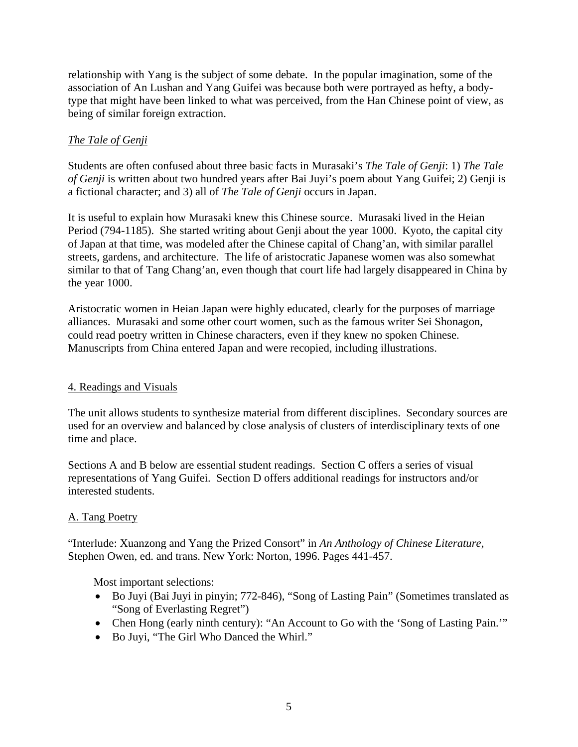relationship with Yang is the subject of some debate. In the popular imagination, some of the association of An Lushan and Yang Guifei was because both were portrayed as hefty, a bodytype that might have been linked to what was perceived, from the Han Chinese point of view, as being of similar foreign extraction.

# *The Tale of Genji*

Students are often confused about three basic facts in Murasaki's *The Tale of Genji*: 1) *The Tale of Genji* is written about two hundred years after Bai Juyi's poem about Yang Guifei; 2) Genji is a fictional character; and 3) all of *The Tale of Genji* occurs in Japan.

It is useful to explain how Murasaki knew this Chinese source. Murasaki lived in the Heian Period (794-1185). She started writing about Genji about the year 1000. Kyoto, the capital city of Japan at that time, was modeled after the Chinese capital of Chang'an, with similar parallel streets, gardens, and architecture. The life of aristocratic Japanese women was also somewhat similar to that of Tang Chang'an, even though that court life had largely disappeared in China by the year 1000.

Aristocratic women in Heian Japan were highly educated, clearly for the purposes of marriage alliances. Murasaki and some other court women, such as the famous writer Sei Shonagon, could read poetry written in Chinese characters, even if they knew no spoken Chinese. Manuscripts from China entered Japan and were recopied, including illustrations.

# 4. Readings and Visuals

The unit allows students to synthesize material from different disciplines. Secondary sources are used for an overview and balanced by close analysis of clusters of interdisciplinary texts of one time and place.

Sections A and B below are essential student readings. Section C offers a series of visual representations of Yang Guifei. Section D offers additional readings for instructors and/or interested students.

# A. Tang Poetry

"Interlude: Xuanzong and Yang the Prized Consort" in *An Anthology of Chinese Literature*, Stephen Owen, ed. and trans. New York: Norton, 1996. Pages 441-457.

Most important selections:

- Bo Juyi (Bai Juyi in pinyin; 772-846), "Song of Lasting Pain" (Sometimes translated as "Song of Everlasting Regret")
- Chen Hong (early ninth century): "An Account to Go with the 'Song of Lasting Pain.'"
- Bo Juyi, "The Girl Who Danced the Whirl."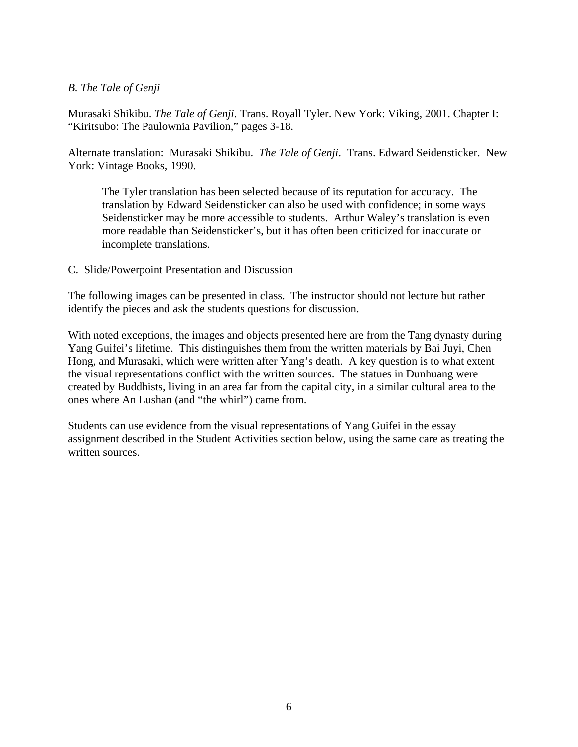# *B. The Tale of Genji*

Murasaki Shikibu. *The Tale of Genji*. Trans. Royall Tyler. New York: Viking, 2001. Chapter I: "Kiritsubo: The Paulownia Pavilion," pages 3-18.

Alternate translation: Murasaki Shikibu. *The Tale of Genji*. Trans. Edward Seidensticker. New York: Vintage Books, 1990.

The Tyler translation has been selected because of its reputation for accuracy. The translation by Edward Seidensticker can also be used with confidence; in some ways Seidensticker may be more accessible to students. Arthur Waley's translation is even more readable than Seidensticker's, but it has often been criticized for inaccurate or incomplete translations.

#### C. Slide/Powerpoint Presentation and Discussion

The following images can be presented in class. The instructor should not lecture but rather identify the pieces and ask the students questions for discussion.

With noted exceptions, the images and objects presented here are from the Tang dynasty during Yang Guifei's lifetime. This distinguishes them from the written materials by Bai Juyi, Chen Hong, and Murasaki, which were written after Yang's death. A key question is to what extent the visual representations conflict with the written sources. The statues in Dunhuang were created by Buddhists, living in an area far from the capital city, in a similar cultural area to the ones where An Lushan (and "the whirl") came from.

Students can use evidence from the visual representations of Yang Guifei in the essay assignment described in the Student Activities section below, using the same care as treating the written sources.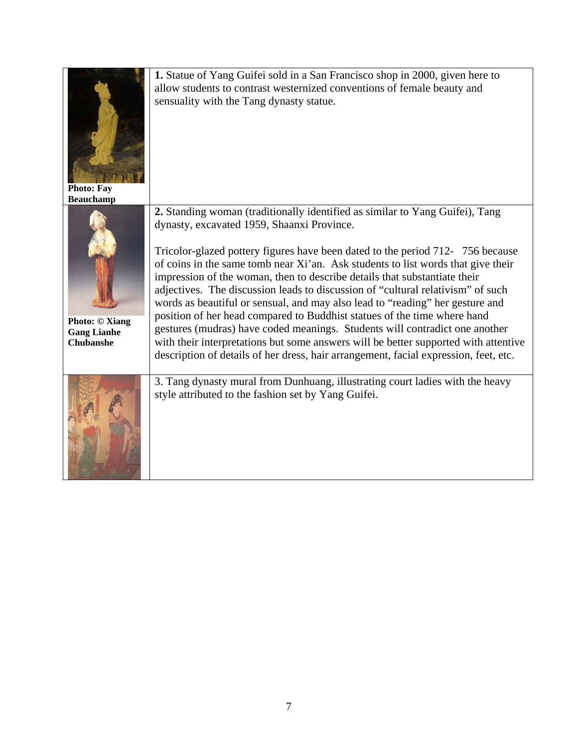| <b>Photo: Fay</b><br><b>Beauchamp</b>                           | 1. Statue of Yang Guifei sold in a San Francisco shop in 2000, given here to<br>allow students to contrast westernized conventions of female beauty and<br>sensuality with the Tang dynasty statue.                                                                                                                                                                                                                                                                                                                                                                                                                                                                                                                                                                                                                                                                                        |
|-----------------------------------------------------------------|--------------------------------------------------------------------------------------------------------------------------------------------------------------------------------------------------------------------------------------------------------------------------------------------------------------------------------------------------------------------------------------------------------------------------------------------------------------------------------------------------------------------------------------------------------------------------------------------------------------------------------------------------------------------------------------------------------------------------------------------------------------------------------------------------------------------------------------------------------------------------------------------|
| <b>Photo: © Xiang</b><br><b>Gang Lianhe</b><br><b>Chubanshe</b> | 2. Standing woman (traditionally identified as similar to Yang Guifei), Tang<br>dynasty, excavated 1959, Shaanxi Province.<br>Tricolor-glazed pottery figures have been dated to the period 712-756 because<br>of coins in the same tomb near Xi'an. Ask students to list words that give their<br>impression of the woman, then to describe details that substantiate their<br>adjectives. The discussion leads to discussion of "cultural relativism" of such<br>words as beautiful or sensual, and may also lead to "reading" her gesture and<br>position of her head compared to Buddhist statues of the time where hand<br>gestures (mudras) have coded meanings. Students will contradict one another<br>with their interpretations but some answers will be better supported with attentive<br>description of details of her dress, hair arrangement, facial expression, feet, etc. |
|                                                                 | 3. Tang dynasty mural from Dunhuang, illustrating court ladies with the heavy<br>style attributed to the fashion set by Yang Guifei.                                                                                                                                                                                                                                                                                                                                                                                                                                                                                                                                                                                                                                                                                                                                                       |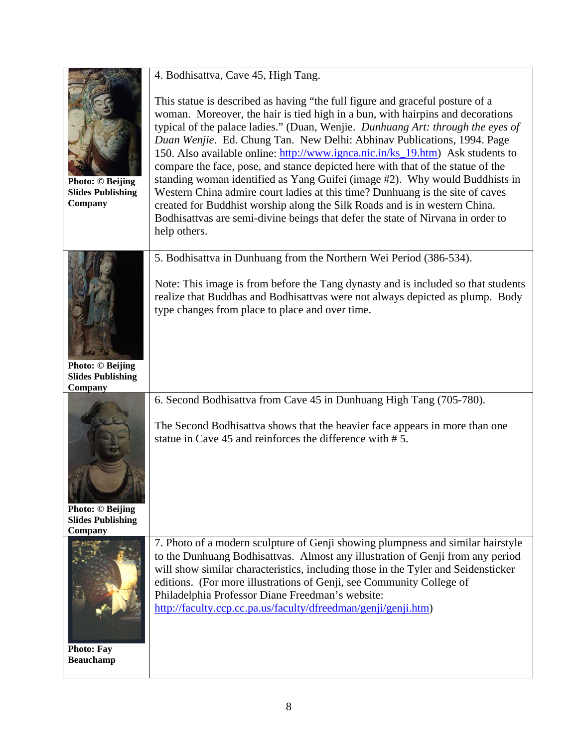|                                                                | 4. Bodhisattva, Cave 45, High Tang.                                                                                                                                                                                                                                                                                                                                                                                                                                                                                                                                                                                                                                                                                                                                                                                                                 |
|----------------------------------------------------------------|-----------------------------------------------------------------------------------------------------------------------------------------------------------------------------------------------------------------------------------------------------------------------------------------------------------------------------------------------------------------------------------------------------------------------------------------------------------------------------------------------------------------------------------------------------------------------------------------------------------------------------------------------------------------------------------------------------------------------------------------------------------------------------------------------------------------------------------------------------|
| <b>Photo: © Beijing</b><br><b>Slides Publishing</b><br>Company | This statue is described as having "the full figure and graceful posture of a<br>woman. Moreover, the hair is tied high in a bun, with hairpins and decorations<br>typical of the palace ladies." (Duan, Wenjie. Dunhuang Art: through the eyes of<br>Duan Wenjie. Ed. Chung Tan. New Delhi: Abhinav Publications, 1994. Page<br>150. Also available online: http://www.ignca.nic.in/ks_19.htm) Ask students to<br>compare the face, pose, and stance depicted here with that of the statue of the<br>standing woman identified as Yang Guifei (image #2). Why would Buddhists in<br>Western China admire court ladies at this time? Dunhuang is the site of caves<br>created for Buddhist worship along the Silk Roads and is in western China.<br>Bodhisattvas are semi-divine beings that defer the state of Nirvana in order to<br>help others. |
|                                                                | 5. Bodhisattva in Dunhuang from the Northern Wei Period (386-534).<br>Note: This image is from before the Tang dynasty and is included so that students<br>realize that Buddhas and Bodhisattvas were not always depicted as plump. Body<br>type changes from place to place and over time.                                                                                                                                                                                                                                                                                                                                                                                                                                                                                                                                                         |
| <b>Photo: © Beijing</b><br><b>Slides Publishing</b><br>Company |                                                                                                                                                                                                                                                                                                                                                                                                                                                                                                                                                                                                                                                                                                                                                                                                                                                     |
|                                                                | 6. Second Bodhisattva from Cave 45 in Dunhuang High Tang (705-780).                                                                                                                                                                                                                                                                                                                                                                                                                                                                                                                                                                                                                                                                                                                                                                                 |
| <b>Photo: © Beijing</b><br><b>Slides Publishing</b><br>Company | The Second Bodhisattva shows that the heavier face appears in more than one<br>statue in Cave 45 and reinforces the difference with #5.                                                                                                                                                                                                                                                                                                                                                                                                                                                                                                                                                                                                                                                                                                             |
| <b>Photo: Fay</b><br><b>Beauchamp</b>                          | 7. Photo of a modern sculpture of Genji showing plumpness and similar hairstyle<br>to the Dunhuang Bodhisattvas. Almost any illustration of Genji from any period<br>will show similar characteristics, including those in the Tyler and Seidensticker<br>editions. (For more illustrations of Genji, see Community College of<br>Philadelphia Professor Diane Freedman's website:<br>http://faculty.ccp.cc.pa.us/faculty/dfreedman/genji/genji.htm)                                                                                                                                                                                                                                                                                                                                                                                                |

 $\overline{\phantom{a}}$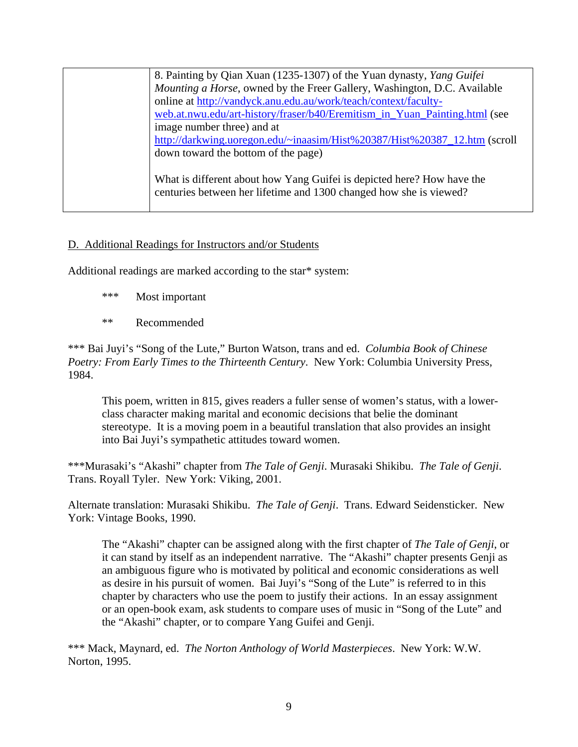| 8. Painting by Qian Xuan (1235-1307) of the Yuan dynasty, Yang Guifei      |
|----------------------------------------------------------------------------|
| Mounting a Horse, owned by the Freer Gallery, Washington, D.C. Available   |
| online at http://vandyck.anu.edu.au/work/teach/context/faculty-            |
| web.at.nwu.edu/art-history/fraser/b40/Eremitism_in_Yuan_Painting.html (see |
| image number three) and at                                                 |
| http://darkwing.uoregon.edu/~inaasim/Hist%20387/Hist%20387_12.htm (scroll  |
| down toward the bottom of the page)                                        |
|                                                                            |
| What is different about how Yang Guifei is depicted here? How have the     |
| centuries between her lifetime and 1300 changed how she is viewed?         |
|                                                                            |

# D. Additional Readings for Instructors and/or Students

Additional readings are marked according to the star\* system:

- \*\*\* Most important
- \*\* Recommended

\*\*\* Bai Juyi's "Song of the Lute," Burton Watson, trans and ed. *Columbia Book of Chinese Poetry: From Early Times to the Thirteenth Century*. New York: Columbia University Press, 1984.

This poem, written in 815, gives readers a fuller sense of women's status, with a lowerclass character making marital and economic decisions that belie the dominant stereotype. It is a moving poem in a beautiful translation that also provides an insight into Bai Juyi's sympathetic attitudes toward women.

\*\*\*Murasaki's "Akashi" chapter from *The Tale of Genji*. Murasaki Shikibu. *The Tale of Genji*. Trans. Royall Tyler. New York: Viking, 2001.

Alternate translation: Murasaki Shikibu. *The Tale of Genji*. Trans. Edward Seidensticker. New York: Vintage Books, 1990.

The "Akashi" chapter can be assigned along with the first chapter of *The Tale of Genji*, or it can stand by itself as an independent narrative. The "Akashi" chapter presents Genji as an ambiguous figure who is motivated by political and economic considerations as well as desire in his pursuit of women. Bai Juyi's "Song of the Lute" is referred to in this chapter by characters who use the poem to justify their actions. In an essay assignment or an open-book exam, ask students to compare uses of music in "Song of the Lute" and the "Akashi" chapter, or to compare Yang Guifei and Genji.

\*\*\* Mack, Maynard, ed. *The Norton Anthology of World Masterpieces*. New York: W.W. Norton, 1995.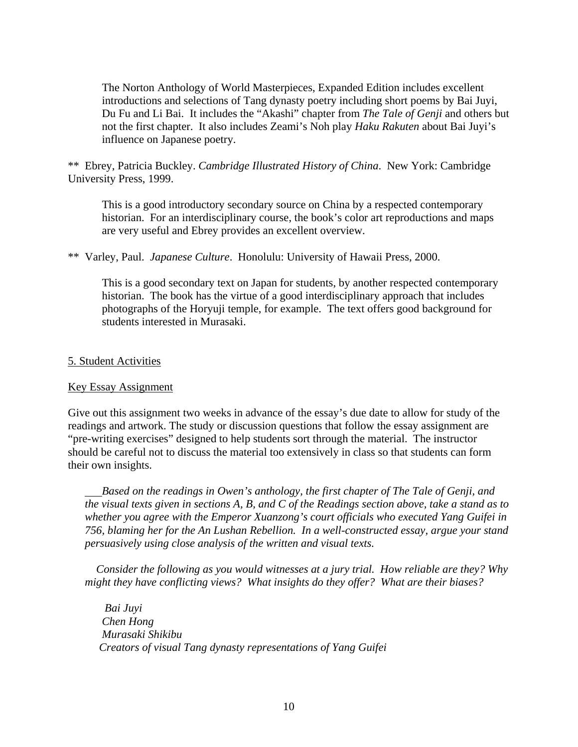The Norton Anthology of World Masterpieces, Expanded Edition includes excellent introductions and selections of Tang dynasty poetry including short poems by Bai Juyi, Du Fu and Li Bai. It includes the "Akashi" chapter from *The Tale of Genji* and others but not the first chapter. It also includes Zeami's Noh play *Haku Rakuten* about Bai Juyi's influence on Japanese poetry.

\*\* Ebrey, Patricia Buckley. *Cambridge Illustrated History of China*. New York: Cambridge University Press, 1999.

This is a good introductory secondary source on China by a respected contemporary historian. For an interdisciplinary course, the book's color art reproductions and maps are very useful and Ebrey provides an excellent overview.

\*\* Varley, Paul. *Japanese Culture*. Honolulu: University of Hawaii Press, 2000.

This is a good secondary text on Japan for students, by another respected contemporary historian. The book has the virtue of a good interdisciplinary approach that includes photographs of the Horyuji temple, for example. The text offers good background for students interested in Murasaki.

## 5. Student Activities

## Key Essay Assignment

Give out this assignment two weeks in advance of the essay's due date to allow for study of the readings and artwork. The study or discussion questions that follow the essay assignment are "pre-writing exercises" designed to help students sort through the material. The instructor should be careful not to discuss the material too extensively in class so that students can form their own insights.

 *Based on the readings in Owen's anthology, the first chapter of The Tale of Genji, and the visual texts given in sections A, B, and C of the Readings section above, take a stand as to whether you agree with the Emperor Xuanzong's court officials who executed Yang Guifei in 756, blaming her for the An Lushan Rebellion. In a well-constructed essay, argue your stand persuasively using close analysis of the written and visual texts.* 

 *Consider the following as you would witnesses at a jury trial. How reliable are they? Why might they have conflicting views? What insights do they offer? What are their biases?* 

 *Bai Juyi Chen Hong Murasaki Shikibu Creators of visual Tang dynasty representations of Yang Guifei*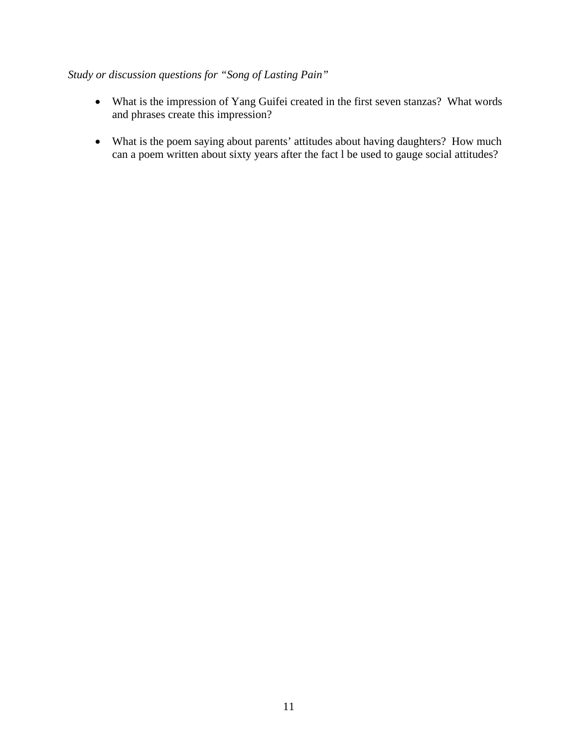# *Study or discussion questions for "Song of Lasting Pain"*

- What is the impression of Yang Guifei created in the first seven stanzas? What words and phrases create this impression?
- What is the poem saying about parents' attitudes about having daughters? How much can a poem written about sixty years after the fact l be used to gauge social attitudes?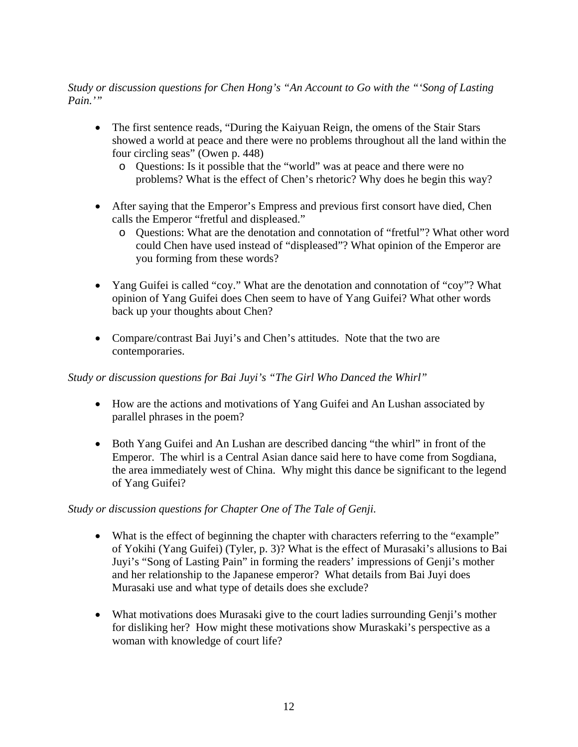# *Study or discussion questions for Chen Hong's "An Account to Go with the "'Song of Lasting Pain.'"*

- The first sentence reads, "During the Kaiyuan Reign, the omens of the Stair Stars showed a world at peace and there were no problems throughout all the land within the four circling seas" (Owen p. 448)
	- o Questions: Is it possible that the "world" was at peace and there were no problems? What is the effect of Chen's rhetoric? Why does he begin this way?
- After saying that the Emperor's Empress and previous first consort have died, Chen calls the Emperor "fretful and displeased."
	- o Questions: What are the denotation and connotation of "fretful"? What other word could Chen have used instead of "displeased"? What opinion of the Emperor are you forming from these words?
- Yang Guifei is called "coy." What are the denotation and connotation of "coy"? What opinion of Yang Guifei does Chen seem to have of Yang Guifei? What other words back up your thoughts about Chen?
- Compare/contrast Bai Juyi's and Chen's attitudes. Note that the two are contemporaries.

# *Study or discussion questions for Bai Juyi's "The Girl Who Danced the Whirl"*

- How are the actions and motivations of Yang Guifei and An Lushan associated by parallel phrases in the poem?
- Both Yang Guifei and An Lushan are described dancing "the whirl" in front of the Emperor. The whirl is a Central Asian dance said here to have come from Sogdiana, the area immediately west of China. Why might this dance be significant to the legend of Yang Guifei?

# *Study or discussion questions for Chapter One of The Tale of Genji.*

- What is the effect of beginning the chapter with characters referring to the "example" of Yokihi (Yang Guifei) (Tyler, p. 3)? What is the effect of Murasaki's allusions to Bai Juyi's "Song of Lasting Pain" in forming the readers' impressions of Genji's mother and her relationship to the Japanese emperor? What details from Bai Juyi does Murasaki use and what type of details does she exclude?
- What motivations does Murasaki give to the court ladies surrounding Genji's mother for disliking her? How might these motivations show Muraskaki's perspective as a woman with knowledge of court life?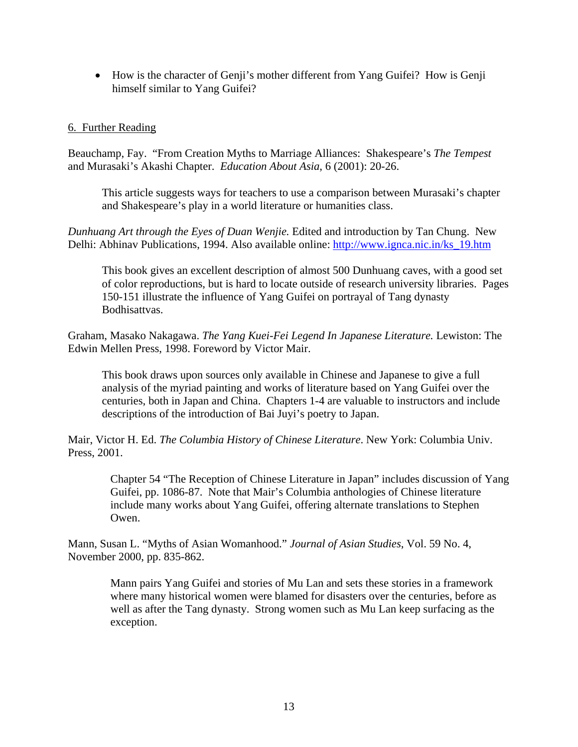• How is the character of Genji's mother different from Yang Guifei? How is Genji himself similar to Yang Guifei?

## 6. Further Reading

Beauchamp, Fay. "From Creation Myths to Marriage Alliances: Shakespeare's *The Tempest*  and Murasaki's Akashi Chapter. *Education About Asia*, 6 (2001): 20-26.

This article suggests ways for teachers to use a comparison between Murasaki's chapter and Shakespeare's play in a world literature or humanities class.

*Dunhuang Art through the Eyes of Duan Wenjie.* Edited and introduction by Tan Chung. New Delhi: Abhinav Publications, 1994. Also available online: [http://www.ignca.nic.in/ks\\_19.htm](http://www.ignca.nic.in/ks_19.htm)

This book gives an excellent description of almost 500 Dunhuang caves, with a good set of color reproductions, but is hard to locate outside of research university libraries. Pages 150-151 illustrate the influence of Yang Guifei on portrayal of Tang dynasty Bodhisattvas.

Graham, Masako Nakagawa. *The Yang Kuei-Fei Legend In Japanese Literature.* Lewiston: The Edwin Mellen Press, 1998. Foreword by Victor Mair.

This book draws upon sources only available in Chinese and Japanese to give a full analysis of the myriad painting and works of literature based on Yang Guifei over the centuries, both in Japan and China. Chapters 1-4 are valuable to instructors and include descriptions of the introduction of Bai Juyi's poetry to Japan.

Mair, Victor H. Ed. *The Columbia History of Chinese Literature*. New York: Columbia Univ. Press, 2001.

Chapter 54 "The Reception of Chinese Literature in Japan" includes discussion of Yang Guifei, pp. 1086-87. Note that Mair's Columbia anthologies of Chinese literature include many works about Yang Guifei, offering alternate translations to Stephen Owen.

Mann, Susan L. "Myths of Asian Womanhood." *Journal of Asian Studies*, Vol. 59 No. 4, November 2000, pp. 835-862.

> Mann pairs Yang Guifei and stories of Mu Lan and sets these stories in a framework where many historical women were blamed for disasters over the centuries, before as well as after the Tang dynasty. Strong women such as Mu Lan keep surfacing as the exception.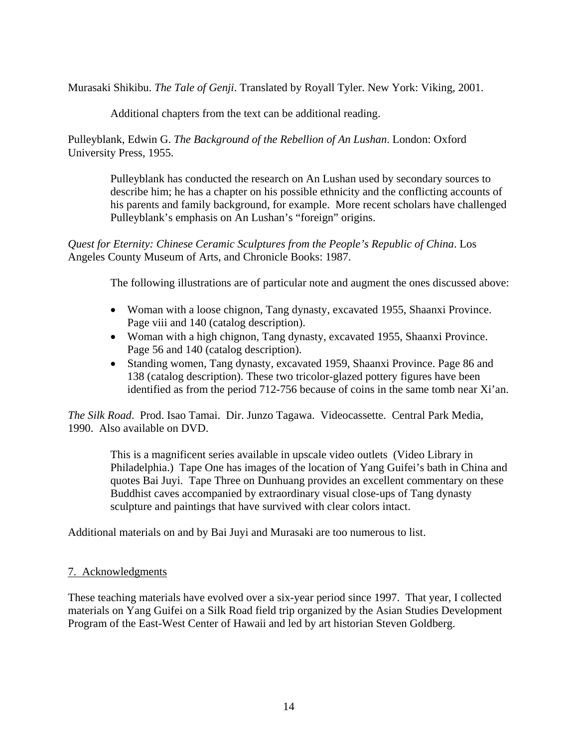Murasaki Shikibu. *The Tale of Genji*. Translated by Royall Tyler. New York: Viking, 2001.

Additional chapters from the text can be additional reading.

Pulleyblank, Edwin G. *The Background of the Rebellion of An Lushan*. London: Oxford University Press, 1955.

> Pulleyblank has conducted the research on An Lushan used by secondary sources to describe him; he has a chapter on his possible ethnicity and the conflicting accounts of his parents and family background, for example. More recent scholars have challenged Pulleyblank's emphasis on An Lushan's "foreign" origins.

*Quest for Eternity: Chinese Ceramic Sculptures from the People's Republic of China*. Los Angeles County Museum of Arts, and Chronicle Books: 1987.

The following illustrations are of particular note and augment the ones discussed above:

- Woman with a loose chignon, Tang dynasty, excavated 1955, Shaanxi Province. Page viii and 140 (catalog description).
- Woman with a high chignon, Tang dynasty, excavated 1955, Shaanxi Province. Page 56 and 140 (catalog description).
- Standing women, Tang dynasty, excavated 1959, Shaanxi Province. Page 86 and 138 (catalog description). These two tricolor-glazed pottery figures have been identified as from the period 712-756 because of coins in the same tomb near Xi'an.

*The Silk Road*. Prod. Isao Tamai. Dir. Junzo Tagawa. Videocassette. Central Park Media, 1990. Also available on DVD.

This is a magnificent series available in upscale video outlets (Video Library in Philadelphia.) Tape One has images of the location of Yang Guifei's bath in China and quotes Bai Juyi. Tape Three on Dunhuang provides an excellent commentary on these Buddhist caves accompanied by extraordinary visual close-ups of Tang dynasty sculpture and paintings that have survived with clear colors intact.

Additional materials on and by Bai Juyi and Murasaki are too numerous to list.

## 7. Acknowledgments

These teaching materials have evolved over a six-year period since 1997. That year, I collected materials on Yang Guifei on a Silk Road field trip organized by the Asian Studies Development Program of the East-West Center of Hawaii and led by art historian Steven Goldberg.